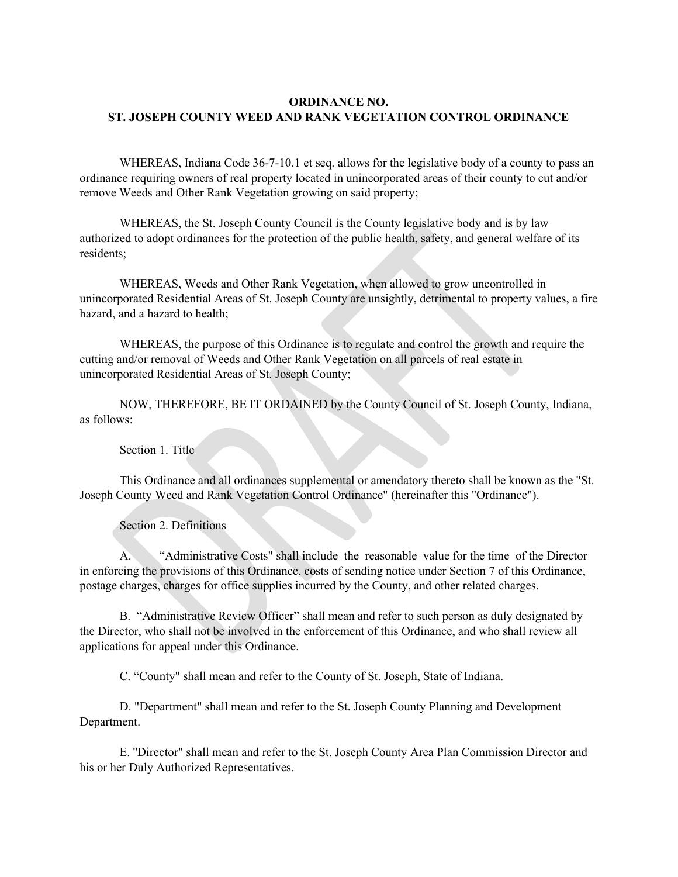# **ORDINANCE NO. ST. JOSEPH COUNTY WEED AND RANK VEGETATION CONTROL ORDINANCE**

WHEREAS, Indiana Code 36-7-10.1 et seq. allows for the legislative body of a county to pass an ordinance requiring owners of real property located in unincorporated areas of their county to cut and/or remove Weeds and Other Rank Vegetation growing on said property;

WHEREAS, the St. Joseph County Council is the County legislative body and is by law authorized to adopt ordinances for the protection of the public health, safety, and general welfare of its residents;

WHEREAS, Weeds and Other Rank Vegetation, when allowed to grow uncontrolled in unincorporated Residential Areas of St. Joseph County are unsightly, detrimental to property values, a fire hazard, and a hazard to health;

WHEREAS, the purpose of this Ordinance is to regulate and control the growth and require the cutting and/or removal of Weeds and Other Rank Vegetation on all parcels of real estate in unincorporated Residential Areas of St. Joseph County;

NOW, THEREFORE, BE IT ORDAINED by the County Council of St. Joseph County, Indiana, as follows:

Section 1. Title

This Ordinance and all ordinances supplemental or amendatory thereto shall be known as the "St. Joseph County Weed and Rank Vegetation Control Ordinance" (hereinafter this "Ordinance").

Section 2. Definitions

A. "Administrative Costs" shall include the reasonable value for the time of the Director in enforcing the provisions of this Ordinance, costs of sending notice under Section 7 of this Ordinance, postage charges, charges for office supplies incurred by the County, and other related charges.

B. "Administrative Review Officer" shall mean and refer to such person as duly designated by the Director, who shall not be involved in the enforcement of this Ordinance, and who shall review all applications for appeal under this Ordinance.

C. "County" shall mean and refer to the County of St. Joseph, State of Indiana.

D. "Department" shall mean and refer to the St. Joseph County Planning and Development Department.

E. ''Director" shall mean and refer to the St. Joseph County Area Plan Commission Director and his or her Duly Authorized Representatives.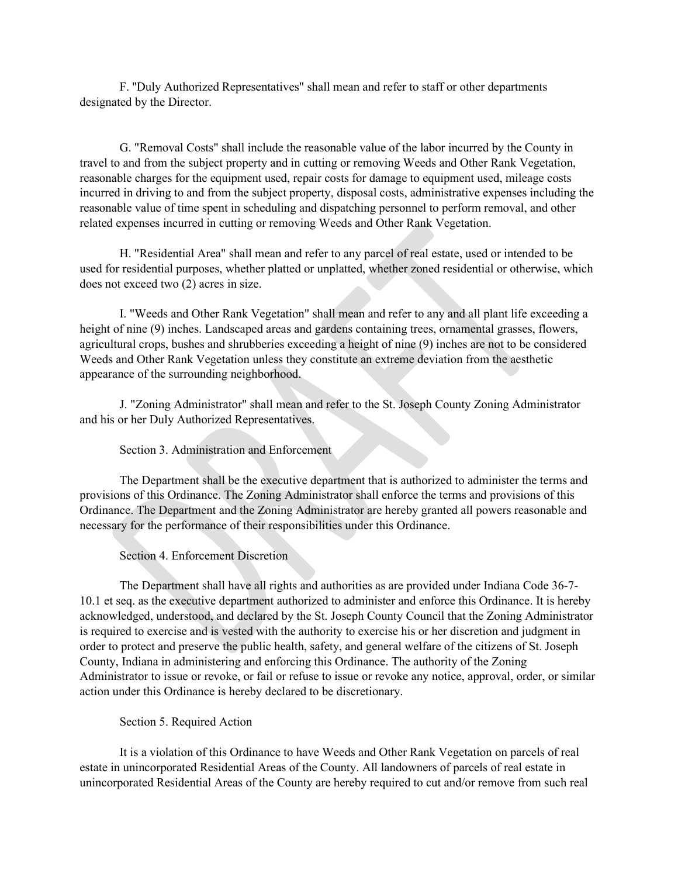F. ''Duly Authorized Representatives" shall mean and refer to staff or other departments designated by the Director.

G. "Removal Costs" shall include the reasonable value of the labor incurred by the County in travel to and from the subject property and in cutting or removing Weeds and Other Rank Vegetation, reasonable charges for the equipment used, repair costs for damage to equipment used, mileage costs incurred in driving to and from the subject property, disposal costs, administrative expenses including the reasonable value of time spent in scheduling and dispatching personnel to perform removal, and other related expenses incurred in cutting or removing Weeds and Other Rank Vegetation.

H. "Residential Area" shall mean and refer to any parcel of real estate, used or intended to be used for residential purposes, whether platted or unplatted, whether zoned residential or otherwise, which does not exceed two (2) acres in size.

I. "Weeds and Other Rank Vegetation" shall mean and refer to any and all plant life exceeding a height of nine (9) inches. Landscaped areas and gardens containing trees, ornamental grasses, flowers, agricultural crops, bushes and shrubberies exceeding a height of nine (9) inches are not to be considered Weeds and Other Rank Vegetation unless they constitute an extreme deviation from the aesthetic appearance of the surrounding neighborhood.

J. "Zoning Administrator" shall mean and refer to the St. Joseph County Zoning Administrator and his or her Duly Authorized Representatives.

Section 3. Administration and Enforcement

The Department shall be the executive department that is authorized to administer the terms and provisions of this Ordinance. The Zoning Administrator shall enforce the terms and provisions of this Ordinance. The Department and the Zoning Administrator are hereby granted all powers reasonable and necessary for the performance of their responsibilities under this Ordinance.

Section 4. Enforcement Discretion

The Department shall have all rights and authorities as are provided under Indiana Code 36-7- 10.1 et seq. as the executive department authorized to administer and enforce this Ordinance. It is hereby acknowledged, understood, and declared by the St. Joseph County Council that the Zoning Administrator is required to exercise and is vested with the authority to exercise his or her discretion and judgment in order to protect and preserve the public health, safety, and general welfare of the citizens of St. Joseph County, Indiana in administering and enforcing this Ordinance. The authority of the Zoning Administrator to issue or revoke, or fail or refuse to issue or revoke any notice, approval, order, or similar action under this Ordinance is hereby declared to be discretionary.

Section 5. Required Action

It is a violation of this Ordinance to have Weeds and Other Rank Vegetation on parcels of real estate in unincorporated Residential Areas of the County. All landowners of parcels of real estate in unincorporated Residential Areas of the County are hereby required to cut and/or remove from such real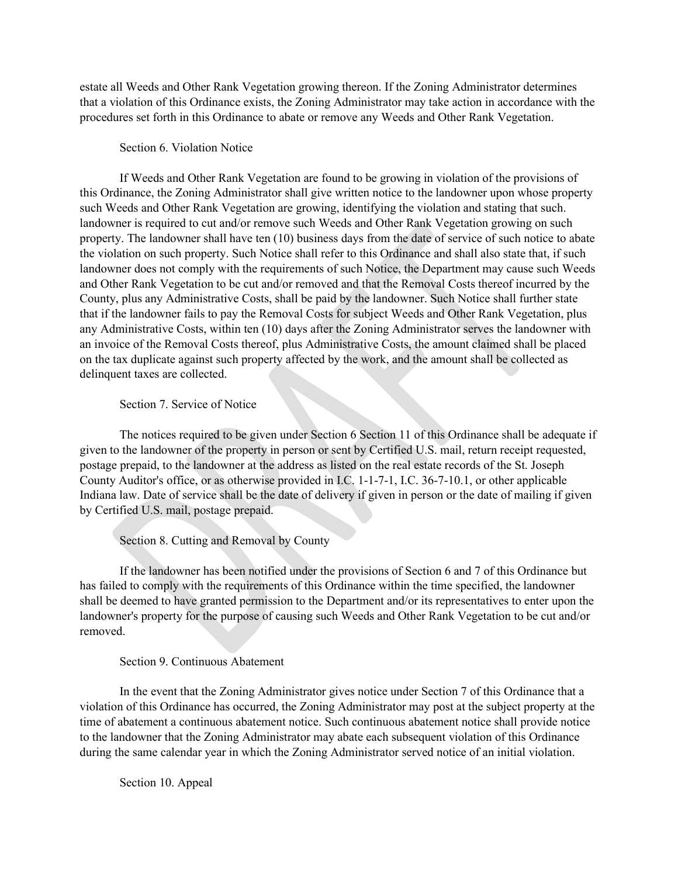estate all Weeds and Other Rank Vegetation growing thereon. If the Zoning Administrator determines that a violation of this Ordinance exists, the Zoning Administrator may take action in accordance with the procedures set forth in this Ordinance to abate or remove any Weeds and Other Rank Vegetation.

### Section 6. Violation Notice

If Weeds and Other Rank Vegetation are found to be growing in violation of the provisions of this Ordinance, the Zoning Administrator shall give written notice to the landowner upon whose property such Weeds and Other Rank Vegetation are growing, identifying the violation and stating that such. landowner is required to cut and/or remove such Weeds and Other Rank Vegetation growing on such property. The landowner shall have ten (10) business days from the date of service of such notice to abate the violation on such property. Such Notice shall refer to this Ordinance and shall also state that, if such landowner does not comply with the requirements of such Notice, the Department may cause such Weeds and Other Rank Vegetation to be cut and/or removed and that the Removal Costs thereof incurred by the County, plus any Administrative Costs, shall be paid by the landowner. Such Notice shall further state that if the landowner fails to pay the Removal Costs for subject Weeds and Other Rank Vegetation, plus any Administrative Costs, within ten (10) days after the Zoning Administrator serves the landowner with an invoice of the Removal Costs thereof, plus Administrative Costs, the amount claimed shall be placed on the tax duplicate against such property affected by the work, and the amount shall be collected as delinquent taxes are collected.

# Section 7. Service of Notice

The notices required to be given under Section 6 Section 11 of this Ordinance shall be adequate if given to the landowner of the property in person or sent by Certified U.S. mail, return receipt requested, postage prepaid, to the landowner at the address as listed on the real estate records of the St. Joseph County Auditor's office, or as otherwise provided in I.C. 1-1-7-1, I.C. 36-7-10.1, or other applicable Indiana law. Date of service shall be the date of delivery if given in person or the date of mailing if given by Certified U.S. mail, postage prepaid.

# Section 8. Cutting and Removal by County

If the landowner has been notified under the provisions of Section 6 and 7 of this Ordinance but has failed to comply with the requirements of this Ordinance within the time specified, the landowner shall be deemed to have granted permission to the Department and/or its representatives to enter upon the landowner's property for the purpose of causing such Weeds and Other Rank Vegetation to be cut and/or removed.

#### Section 9. Continuous Abatement

In the event that the Zoning Administrator gives notice under Section 7 of this Ordinance that a violation of this Ordinance has occurred, the Zoning Administrator may post at the subject property at the time of abatement a continuous abatement notice. Such continuous abatement notice shall provide notice to the landowner that the Zoning Administrator may abate each subsequent violation of this Ordinance during the same calendar year in which the Zoning Administrator served notice of an initial violation.

Section 10. Appeal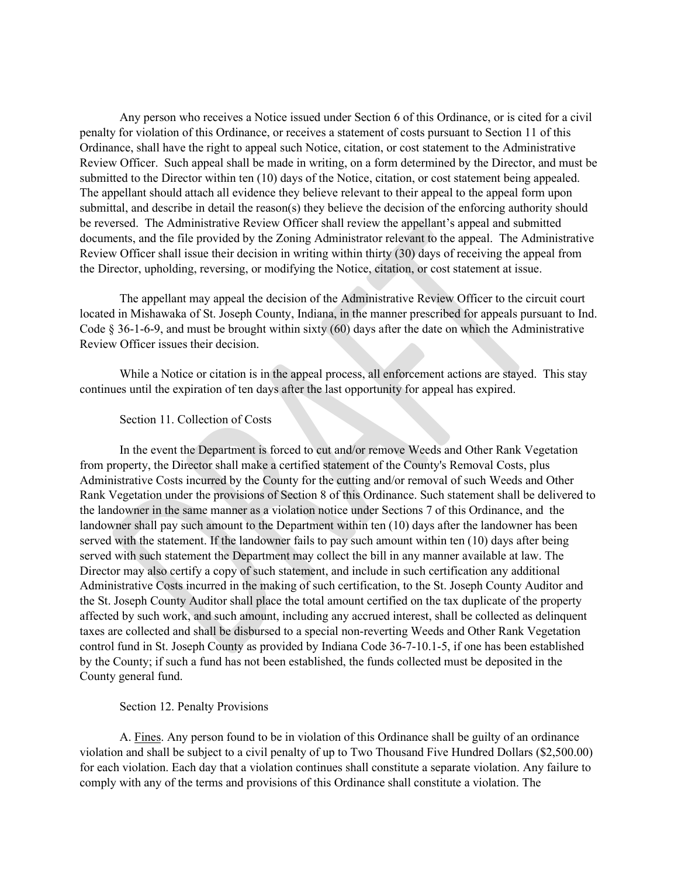Any person who receives a Notice issued under Section 6 of this Ordinance, or is cited for a civil penalty for violation of this Ordinance, or receives a statement of costs pursuant to Section 11 of this Ordinance, shall have the right to appeal such Notice, citation, or cost statement to the Administrative Review Officer. Such appeal shall be made in writing, on a form determined by the Director, and must be submitted to the Director within ten (10) days of the Notice, citation, or cost statement being appealed. The appellant should attach all evidence they believe relevant to their appeal to the appeal form upon submittal, and describe in detail the reason(s) they believe the decision of the enforcing authority should be reversed. The Administrative Review Officer shall review the appellant's appeal and submitted documents, and the file provided by the Zoning Administrator relevant to the appeal. The Administrative Review Officer shall issue their decision in writing within thirty (30) days of receiving the appeal from the Director, upholding, reversing, or modifying the Notice, citation, or cost statement at issue.

The appellant may appeal the decision of the Administrative Review Officer to the circuit court located in Mishawaka of St. Joseph County, Indiana, in the manner prescribed for appeals pursuant to Ind. Code § 36-1-6-9, and must be brought within sixty (60) days after the date on which the Administrative Review Officer issues their decision.

While a Notice or citation is in the appeal process, all enforcement actions are stayed. This stay continues until the expiration of ten days after the last opportunity for appeal has expired.

### Section 11. Collection of Costs

In the event the Department is forced to cut and/or remove Weeds and Other Rank Vegetation from property, the Director shall make a certified statement of the County's Removal Costs, plus Administrative Costs incurred by the County for the cutting and/or removal of such Weeds and Other Rank Vegetation under the provisions of Section 8 of this Ordinance. Such statement shall be delivered to the landowner in the same manner as a violation notice under Sections 7 of this Ordinance, and the landowner shall pay such amount to the Department within ten (10) days after the landowner has been served with the statement. If the landowner fails to pay such amount within ten (10) days after being served with such statement the Department may collect the bill in any manner available at law. The Director may also certify a copy of such statement, and include in such certification any additional Administrative Costs incurred in the making of such certification, to the St. Joseph County Auditor and the St. Joseph County Auditor shall place the total amount certified on the tax duplicate of the property affected by such work, and such amount, including any accrued interest, shall be collected as delinquent taxes are collected and shall be disbursed to a special non-reverting Weeds and Other Rank Vegetation control fund in St. Joseph County as provided by Indiana Code 36-7-10.1-5, if one has been established by the County; if such a fund has not been established, the funds collected must be deposited in the County general fund.

#### Section 12. Penalty Provisions

A. Fines. Any person found to be in violation of this Ordinance shall be guilty of an ordinance violation and shall be subject to a civil penalty of up to Two Thousand Five Hundred Dollars (\$2,500.00) for each violation. Each day that a violation continues shall constitute a separate violation. Any failure to comply with any of the terms and provisions of this Ordinance shall constitute a violation. The